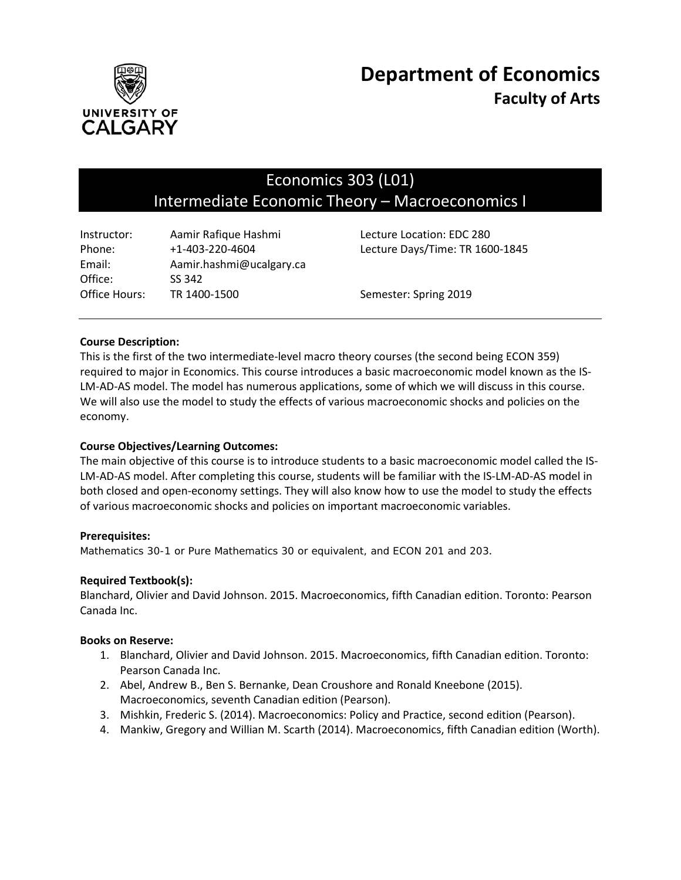

# Economics 303 (L01) Intermediate Economic Theory – Macroeconomics I

| Instructor:   | Aamir Rafique Hashmi     | Lecture Location: EDC 280       |
|---------------|--------------------------|---------------------------------|
| Phone:        | $+1 - 403 - 220 - 4604$  | Lecture Days/Time: TR 1600-1845 |
| Email:        | Aamir.hashmi@ucalgary.ca |                                 |
| Office:       | SS 342                   |                                 |
| Office Hours: | TR 1400-1500             | Semester: Spring 2019           |

## **Course Description:**

This is the first of the two intermediate-level macro theory courses (the second being ECON 359) required to major in Economics. This course introduces a basic macroeconomic model known as the IS-LM-AD-AS model. The model has numerous applications, some of which we will discuss in this course. We will also use the model to study the effects of various macroeconomic shocks and policies on the economy.

## **Course Objectives/Learning Outcomes:**

The main objective of this course is to introduce students to a basic macroeconomic model called the IS-LM-AD-AS model. After completing this course, students will be familiar with the IS-LM-AD-AS model in both closed and open-economy settings. They will also know how to use the model to study the effects of various macroeconomic shocks and policies on important macroeconomic variables.

#### **Prerequisites:**

*Mathematics 30-1 or Pure Mathematics 30 or equivalent, and ECON 201 and 203*.

#### **Required Textbook(s):**

Blanchard, Olivier and David Johnson. 2015. Macroeconomics, fifth Canadian edition. Toronto: Pearson Canada Inc.

#### **Books on Reserve:**

- 1. Blanchard, Olivier and David Johnson. 2015. Macroeconomics, fifth Canadian edition. Toronto: Pearson Canada Inc.
- 2. Abel, Andrew B., Ben S. Bernanke, Dean Croushore and Ronald Kneebone (2015). Macroeconomics, seventh Canadian edition (Pearson).
- 3. Mishkin, Frederic S. (2014). Macroeconomics: Policy and Practice, second edition (Pearson).
- 4. Mankiw, Gregory and Willian M. Scarth (2014). Macroeconomics, fifth Canadian edition (Worth).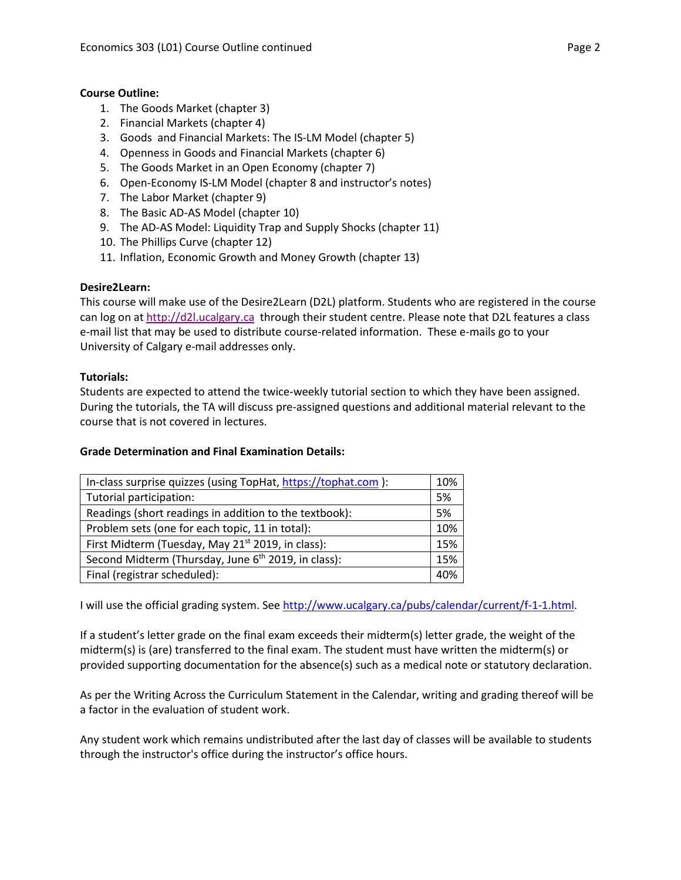## **Course Outline:**

- 1. The Goods Market (chapter 3)
- 2. Financial Markets (chapter 4)
- 3. Goods and Financial Markets: The IS-LM Model (chapter 5)
- 4. Openness in Goods and Financial Markets (chapter 6)
- 5. The Goods Market in an Open Economy (chapter 7)
- 6. Open-Economy IS-LM Model (chapter 8 and instructor's notes)
- 7. The Labor Market (chapter 9)
- 8. The Basic AD-AS Model (chapter 10)
- 9. The AD-AS Model: Liquidity Trap and Supply Shocks (chapter 11)
- 10. The Phillips Curve (chapter 12)
- 11. Inflation, Economic Growth and Money Growth (chapter 13)

#### **Desire2Learn:**

This course will make use of the Desire2Learn (D2L) platform. Students who are registered in the course can log on a[t http://d2l.ucalgary.ca](http://d2l.ucalgary.ca/) through their student centre. Please note that D2L features a class e-mail list that may be used to distribute course-related information. These e-mails go to your University of Calgary e-mail addresses only.

#### **Tutorials:**

Students are expected to attend the twice-weekly tutorial section to which they have been assigned. During the tutorials, the TA will discuss pre-assigned questions and additional material relevant to the course that is not covered in lectures.

#### **Grade Determination and Final Examination Details:**

| In-class surprise quizzes (using TopHat, https://tophat.com ):  |  |
|-----------------------------------------------------------------|--|
| Tutorial participation:                                         |  |
| Readings (short readings in addition to the textbook):          |  |
| Problem sets (one for each topic, 11 in total):                 |  |
| First Midterm (Tuesday, May 21 <sup>st</sup> 2019, in class):   |  |
| Second Midterm (Thursday, June 6 <sup>th</sup> 2019, in class): |  |
| Final (registrar scheduled):                                    |  |

I will use the official grading system. Se[e http://www.ucalgary.ca/pubs/calendar/current/f-1-1.html.](http://www.ucalgary.ca/pubs/calendar/current/f-1-1.html)

If a student's letter grade on the final exam exceeds their midterm(s) letter grade, the weight of the midterm(s) is (are) transferred to the final exam. The student must have written the midterm(s) or provided supporting documentation for the absence(s) such as a medical note or statutory declaration.

As per the Writing Across the Curriculum Statement in the Calendar, writing and grading thereof will be a factor in the evaluation of student work.

Any student work which remains undistributed after the last day of classes will be available to students through the instructor's office during the instructor's office hours.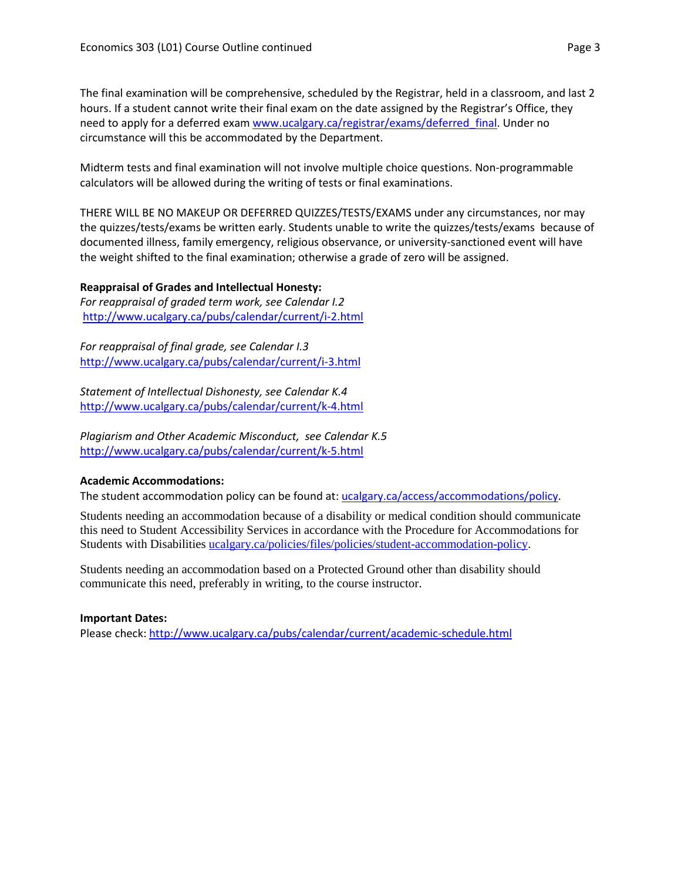The final examination will be comprehensive, scheduled by the Registrar, held in a classroom, and last 2 hours. If a student cannot write their final exam on the date assigned by the Registrar's Office, they need to apply for a deferred exam www.ucalgary.ca/registrar/exams/deferred final. Under no circumstance will this be accommodated by the Department.

Midterm tests and final examination will not involve multiple choice questions. Non-programmable calculators will be allowed during the writing of tests or final examinations.

THERE WILL BE NO MAKEUP OR DEFERRED QUIZZES/TESTS/EXAMS under any circumstances, nor may the quizzes/tests/exams be written early. Students unable to write the quizzes/tests/exams because of documented illness, family emergency, religious observance, or university-sanctioned event will have the weight shifted to the final examination; otherwise a grade of zero will be assigned.

**Reappraisal of Grades and Intellectual Honesty:** *For reappraisal of graded term work, see Calendar I.2* <http://www.ucalgary.ca/pubs/calendar/current/i-2.html>

*For reappraisal of final grade, see Calendar I.3* <http://www.ucalgary.ca/pubs/calendar/current/i-3.html>

*Statement of Intellectual Dishonesty, see Calendar K.4* <http://www.ucalgary.ca/pubs/calendar/current/k-4.html>

*Plagiarism and Other Academic Misconduct, see Calendar K.5* <http://www.ucalgary.ca/pubs/calendar/current/k-5.html>

# **Academic Accommodations:**

The student accommodation policy can be found at: [ucalgary.ca/access/accommodations/policy.](http://www.ucalgary.ca/access/accommodations/policy)

Students needing an accommodation because of a disability or medical condition should communicate this need to Student Accessibility Services in accordance with the Procedure for Accommodations for Students with Disabilities [ucalgary.ca/policies/files/policies/student-accommodation-policy.](http://www.ucalgary.ca/policies/files/policies/student-accommodation-policy.pdf)

Students needing an accommodation based on a Protected Ground other than disability should communicate this need, preferably in writing, to the course instructor.

# **Important Dates:**

Please check:<http://www.ucalgary.ca/pubs/calendar/current/academic-schedule.html>